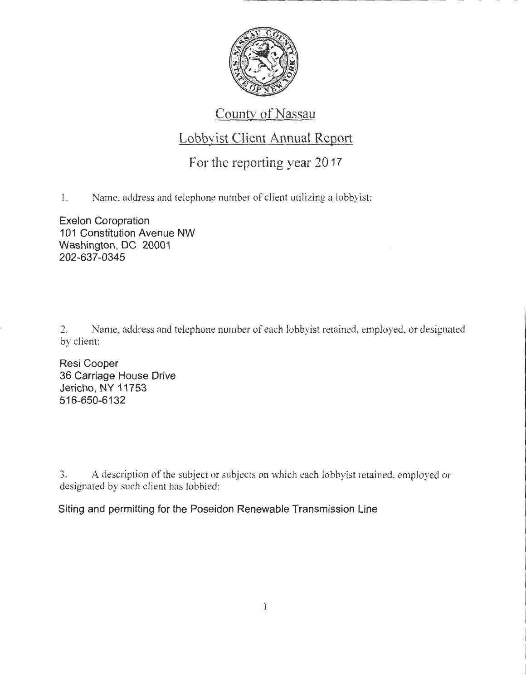

## County of Nassau

## Lobbyist Client Annual Report

## For the reporting year 20 17

1. Name, address and telephone number of client utilizing a lobbyist:

Exelon Coropration 101 Constitution Avenue NW Washington, DC 20001 202-637-0345

2. Name, address and telephone number of each lobbyist retained, employed, or designated by client:

Resi Cooper 36 Carriage House Drive Jericho, NY 11753 516-650-6132

3. A description of the subject or subjects on which each lobbyist retained. employed or designated by such client has lobbied:

Siting and permitting for the Poseidon Renewable Transmission Line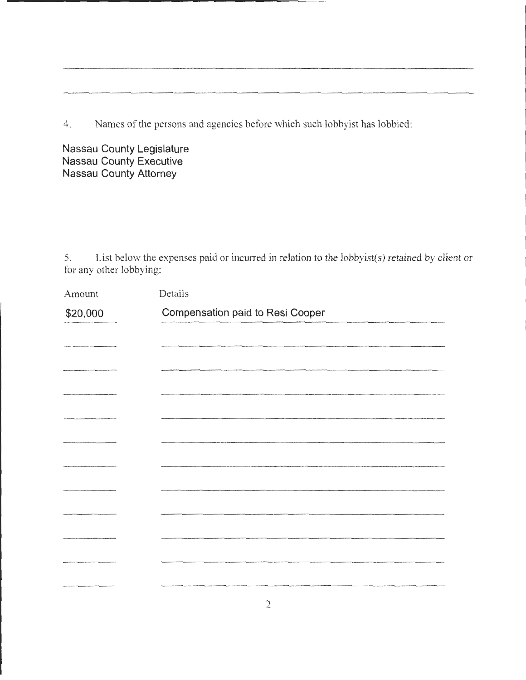4. Names of the persons and agencies before which such lobbyist has lobbied:

**Nassau County Legislature Nassau County Executive Nassau County Attorney** 

5. List below the expenses paid or incurred in relation to the lobbyist(s) retained by client or for any other lobbying:

| Amount   | Details                                                                                                            |
|----------|--------------------------------------------------------------------------------------------------------------------|
| \$20,000 | Compensation paid to Resi Cooper                                                                                   |
|          |                                                                                                                    |
|          |                                                                                                                    |
|          |                                                                                                                    |
|          |                                                                                                                    |
|          |                                                                                                                    |
|          |                                                                                                                    |
|          | .<br>2010 - 2021 - 2022 - 2033 - 2034 - 2035 - 2036 - 2037 - 2038 - 2039 - 2039 - 2039 - 2039 - 2039 - 2039 - 2039 |
|          |                                                                                                                    |
|          |                                                                                                                    |
|          |                                                                                                                    |
|          |                                                                                                                    |
|          |                                                                                                                    |
|          |                                                                                                                    |